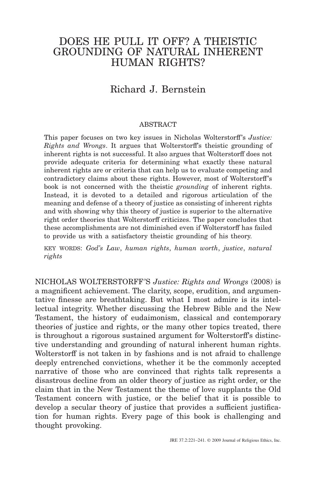# DOES HE PULL IT OFF? A THEISTIC GROUNDING OF NATURAL INHERENT HUMAN RIGHTS?

## Richard J. Bernstein

#### ABSTRACT

This paper focuses on two key issues in Nicholas Wolterstorff's *Justice: Rights and Wrongs*. It argues that Wolterstorff's theistic grounding of inherent rights is not successful. It also argues that Wolterstorff does not provide adequate criteria for determining what exactly these natural inherent rights are or criteria that can help us to evaluate competing and contradictory claims about these rights. However, most of Wolterstorff's book is not concerned with the theistic *grounding* of inherent rights. Instead, it is devoted to a detailed and rigorous articulation of the meaning and defense of a theory of justice as consisting of inherent rights and with showing why this theory of justice is superior to the alternative right order theories that Wolterstorff criticizes. The paper concludes that these accomplishments are not diminished even if Wolterstorff has failed to provide us with a satisfactory theistic grounding of his theory.

KEY WORDS: *God's Law*, *human rights*, *human worth*, *justice*, *natural rights*

NICHOLAS WOLTERSTORFF'S *Justice: Rights and Wrongs* (2008) is a magnificent achievement. The clarity, scope, erudition, and argumentative finesse are breathtaking. But what I most admire is its intellectual integrity. Whether discussing the Hebrew Bible and the New Testament, the history of eudaimonism, classical and contemporary theories of justice and rights, or the many other topics treated, there is throughout a rigorous sustained argument for Wolterstorff's distinctive understanding and grounding of natural inherent human rights. Wolterstorff is not taken in by fashions and is not afraid to challenge deeply entrenched convictions, whether it be the commonly accepted narrative of those who are convinced that rights talk represents a disastrous decline from an older theory of justice as right order, or the claim that in the New Testament the theme of love supplants the Old Testament concern with justice, or the belief that it is possible to develop a secular theory of justice that provides a sufficient justification for human rights. Every page of this book is challenging and thought provoking.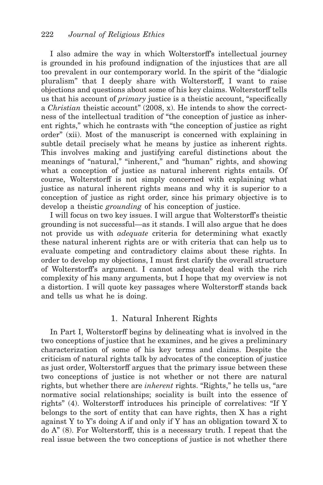I also admire the way in which Wolterstorff's intellectual journey is grounded in his profound indignation of the injustices that are all too prevalent in our contemporary world. In the spirit of the "dialogic pluralism" that I deeply share with Wolterstorff, I want to raise objections and questions about some of his key claims. Wolterstorff tells us that his account of *primary* justice is a theistic account, "specifically a *Christian* theistic account" (2008, x). He intends to show the correctness of the intellectual tradition of "the conception of justice as inherent rights," which he contrasts with "the conception of justice as right order" (xii). Most of the manuscript is concerned with explaining in subtle detail precisely what he means by justice as inherent rights. This involves making and justifying careful distinctions about the meanings of "natural," "inherent," and "human" rights, and showing what a conception of justice as natural inherent rights entails. Of course, Wolterstorff is not simply concerned with explaining what justice as natural inherent rights means and why it is superior to a conception of justice as right order, since his primary objective is to develop a theistic *grounding* of his conception of justice.

I will focus on two key issues. I will argue that Wolterstorff's theistic grounding is not successful—as it stands. I will also argue that he does not provide us with *adequate* criteria for determining what exactly these natural inherent rights are or with criteria that can help us to evaluate competing and contradictory claims about these rights. In order to develop my objections, I must first clarify the overall structure of Wolterstorff's argument. I cannot adequately deal with the rich complexity of his many arguments, but I hope that my overview is not a distortion. I will quote key passages where Wolterstorff stands back and tells us what he is doing.

### 1. Natural Inherent Rights

In Part I, Wolterstorff begins by delineating what is involved in the two conceptions of justice that he examines, and he gives a preliminary characterization of some of his key terms and claims. Despite the criticism of natural rights talk by advocates of the conception of justice as just order, Wolterstorff argues that the primary issue between these two conceptions of justice is not whether or not there are natural rights, but whether there are *inherent* rights. "Rights," he tells us, "are normative social relationships; sociality is built into the essence of rights" (4). Wolterstorff introduces his principle of correlatives: "If Y belongs to the sort of entity that can have rights, then X has a right against Y to Y's doing A if and only if Y has an obligation toward X to do A" (8). For Wolterstorff, this is a necessary truth. I repeat that the real issue between the two conceptions of justice is not whether there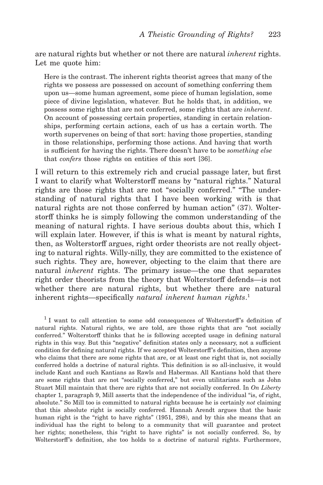are natural rights but whether or not there are natural *inherent* rights. Let me quote him:

Here is the contrast. The inherent rights theorist agrees that many of the rights we possess are possessed on account of something conferring them upon us—some human agreement, some piece of human legislation, some piece of divine legislation, whatever. But he holds that, in addition, we possess some rights that are not conferred, some rights that are *inherent*. On account of possessing certain properties, standing in certain relationships, performing certain actions, each of us has a certain worth. The worth supervenes on being of that sort: having those properties, standing in those relationships, performing those actions. And having that worth is sufficient for having the rights. There doesn't have to be *something else* that *confers* those rights on entities of this sort [36].

I will return to this extremely rich and crucial passage later, but first I want to clarify what Wolterstorff means by "natural rights." Natural rights are those rights that are not "socially conferred." "The understanding of natural rights that I have been working with is that natural rights are not those conferred by human action" (37). Wolterstorff thinks he is simply following the common understanding of the meaning of natural rights. I have serious doubts about this, which I will explain later. However, if this is what is meant by natural rights, then, as Wolterstorff argues, right order theorists are not really objecting to natural rights. Willy-nilly, they are committed to the existence of such rights. They are, however, objecting to the claim that there are natural *inherent* rights. The primary issue—the one that separates right order theorists from the theory that Wolterstorff defends—is not whether there are natural rights, but whether there are natural inherent rights—specifically *natural inherent human rights*. 1

<sup>1</sup> I want to call attention to some odd consequences of Wolterstorff's definition of natural rights. Natural rights, we are told, are those rights that are "not socially conferred." Wolterstorff thinks that he is following accepted usage in defining natural rights in this way. But this "negative" definition states only a necessary, not a sufficient condition for defining natural rights. If we accepted Wolterstorff's definition, then anyone who claims that there are some rights that are, or at least one right that is, not socially conferred holds a doctrine of natural rights. This definition is so all-inclusive, it would include Kant and such Kantians as Rawls and Habermas. All Kantians hold that there are some rights that are not "socially conferred," but even utilitarians such as John Stuart Mill maintain that there are rights that are not socially conferred. In *On Liberty* chapter 1, paragraph 9, Mill asserts that the independence of the individual "is, of right, absolute." So Mill too is committed to natural rights because he is certainly *not* claiming that this absolute right is socially conferred. Hannah Arendt argues that the basic human right is the "right to have rights" (1951, 298), and by this she means that an individual has the right to belong to a community that will guarantee and protect her rights; nonetheless, this "right to have rights" is not socially conferred. So, by Wolterstorff's definition, she too holds to a doctrine of natural rights. Furthermore,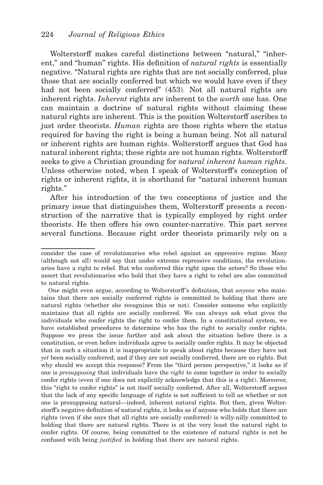Wolterstorff makes careful distinctions between "natural," "inherent," and "human" rights. His definition of *natural rights* is essentially negative. "Natural rights are rights that are not socially conferred, plus those that are socially conferred but which we would have even if they had not been socially conferred" (453). Not all natural rights are inherent rights. *Inherent* rights are inherent to the *worth* one has. One can maintain a doctrine of natural rights without claiming these natural rights are inherent. This is the position Wolterstorff ascribes to just order theorists. *Human* rights are those rights where the status required for having the right is being a human being. Not all natural or inherent rights are human rights. Wolterstorff argues that God has natural inherent rights; these rights are not human rights. Wolterstorff seeks to give a Christian grounding for *natural inherent human rights*. Unless otherwise noted, when I speak of Wolterstorff's conception of rights or inherent rights, it is shorthand for "natural inherent human rights."

After his introduction of the two conceptions of justice and the primary issue that distinguishes them, Wolterstorff presents a reconstruction of the narrative that is typically employed by right order theorists. He then offers his own counter-narrative. This part serves several functions. Because right order theorists primarily rely on a

consider the case of revolutionaries who rebel against an oppressive regime. Many (although not all) would say that under extreme repressive conditions, the revolutionaries have a right to rebel. But who conferred this right upon the actors? So those who assert that revolutionaries who hold that they have a right to rebel are also committed to natural rights.

One might even argue, according to Wolterstorff's definition, that *anyone* who maintains that there are socially conferred rights is committed to holding that there are natural rights (whether she recognizes this or not). Consider someone who explicitly maintains that all rights are socially conferred. We can always ask what gives the individuals who confer rights the right to confer them. In a constitutional system, we have established procedures to determine who has the right to socially confer rights. Suppose we press the issue further and ask about the situation before there is a constitution, or even before individuals agree to socially confer rights. It may be objected that in such a situation it is inappropriate to speak about rights because they have not *yet* been socially conferred; and if they are not socially conferred, there are no rights. But why should we accept this response? From the "third person perspective," it looks as if one is *presupposing* that individuals have the *right* to come together in order to socially confer rights (even if one does not explicitly acknowledge that this is a right). Moreover, this "right to confer rights" is not itself socially conferred. After all, Wolterstorff argues that the lack of any specific language of rights is not sufficient to tell us whether or not one is presupposing natural—indeed, inherent natural rights. But then, given Wolterstorff's negative definition of natural rights, it looks as if anyone who holds that there are rights (even if she says that all rights are socially conferred) is willy-nilly committed to holding that there are natural rights. There is at the very least the natural right to confer rights. Of course, being committed to the existence of natural rights is not be confused with being *justified* in holding that there are natural rights.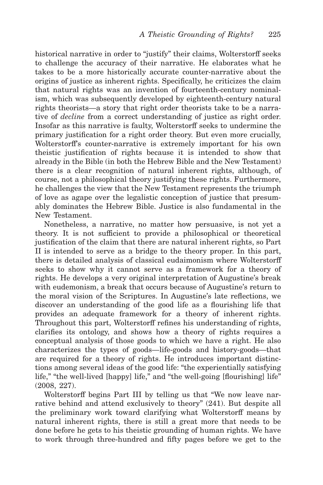historical narrative in order to "justify" their claims, Wolterstorff seeks to challenge the accuracy of their narrative. He elaborates what he takes to be a more historically accurate counter-narrative about the origins of justice as inherent rights. Specifically, he criticizes the claim that natural rights was an invention of fourteenth-century nominalism, which was subsequently developed by eighteenth-century natural rights theorists—a story that right order theorists take to be a narrative of *decline* from a correct understanding of justice as right order. Insofar as this narrative is faulty, Wolterstorff seeks to undermine the primary justification for a right order theory. But even more crucially, Wolterstorff's counter-narrative is extremely important for his own theistic justification of rights because it is intended to show that already in the Bible (in both the Hebrew Bible and the New Testament) there is a clear recognition of natural inherent rights, although, of course, not a philosophical theory justifying these rights. Furthermore, he challenges the view that the New Testament represents the triumph of love as agape over the legalistic conception of justice that presumably dominates the Hebrew Bible. Justice is also fundamental in the New Testament.

Nonetheless, a narrative, no matter how persuasive, is not yet a theory. It is not sufficient to provide a philosophical or theoretical justification of the claim that there are natural inherent rights, so Part II is intended to serve as a bridge to the theory proper. In this part, there is detailed analysis of classical eudaimonism where Wolterstorff seeks to show why it cannot serve as a framework for a theory of rights. He develops a very original interpretation of Augustine's break with eudemonism, a break that occurs because of Augustine's return to the moral vision of the Scriptures. In Augustine's late reflections, we discover an understanding of the good life as a flourishing life that provides an adequate framework for a theory of inherent rights. Throughout this part, Wolterstorff refines his understanding of rights, clarifies its ontology, and shows how a theory of rights requires a conceptual analysis of those goods to which we have a right. He also characterizes the types of goods—life-goods and history-goods—that are required for a theory of rights. He introduces important distinctions among several ideas of the good life: "the experientially satisfying life," "the well-lived [happy] life," and "the well-going [flourishing] life" (2008, 227).

Wolterstorff begins Part III by telling us that "We now leave narrative behind and attend exclusively to theory" (241). But despite all the preliminary work toward clarifying what Wolterstorff means by natural inherent rights, there is still a great more that needs to be done before he gets to his theistic grounding of human rights. We have to work through three-hundred and fifty pages before we get to the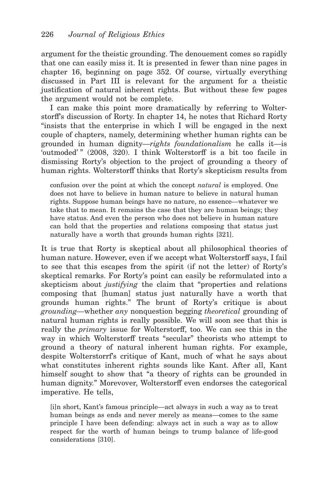argument for the theistic grounding. The denouement comes so rapidly that one can easily miss it. It is presented in fewer than nine pages in chapter 16, beginning on page 352. Of course, virtually everything discussed in Part III is relevant for the argument for a theistic justification of natural inherent rights. But without these few pages the argument would not be complete.

I can make this point more dramatically by referring to Wolterstorff's discussion of Rorty. In chapter 14, he notes that Richard Rorty "insists that the enterprise in which I will be engaged in the next couple of chapters, namely, determining whether human rights can be grounded in human dignity—*rights foundationalism* he calls it—is 'outmoded' " (2008, 320). I think Wolterstorff is a bit too facile in dismissing Rorty's objection to the project of grounding a theory of human rights. Wolterstorff thinks that Rorty's skepticism results from

confusion over the point at which the concept *natural* is employed. One does not have to believe in human nature to believe in natural human rights. Suppose human beings have no nature, no essence—whatever we take that to mean. It remains the case that they are human beings; they have status. And even the person who does not believe in human nature can hold that the properties and relations composing that status just naturally have a worth that grounds human rights [321].

It is true that Rorty is skeptical about all philosophical theories of human nature. However, even if we accept what Wolterstorff says, I fail to see that this escapes from the spirit (if not the letter) of Rorty's skeptical remarks. For Rorty's point can easily be reformulated into a skepticism about *justifying* the claim that "properties and relations composing that [human] status just naturally have a worth that grounds human rights." The brunt of Rorty's critique is about *grounding—*whether *any* nonquestion begging *theoretical* grounding of natural human rights is really possible. We will soon see that this is really the *primary* issue for Wolterstorff, too. We can see this in the way in which Wolterstorff treats "secular" theorists who attempt to ground a theory of natural inherent human rights. For example, despite Wolterstorrf's critique of Kant, much of what he says about what constitutes inherent rights sounds like Kant. After all, Kant himself sought to show that "a theory of rights can be grounded in human dignity." Morevover, Wolterstorff even endorses the categorical imperative. He tells,

[i]n short, Kant's famous principle—act always in such a way as to treat human beings as ends and never merely as means—comes to the same principle I have been defending: always act in such a way as to allow respect for the worth of human beings to trump balance of life-good considerations [310].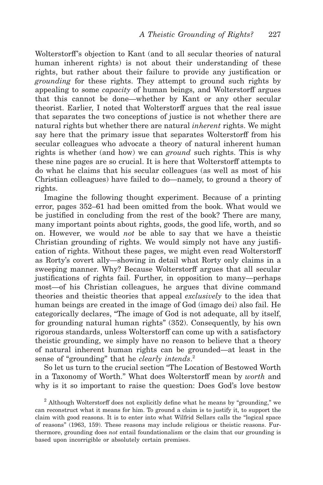Wolterstorff's objection to Kant (and to all secular theories of natural human inherent rights) is not about their understanding of these rights, but rather about their failure to provide any justification or *grounding* for these rights. They attempt to ground such rights by appealing to some *capacity* of human beings, and Wolterstorff argues that this cannot be done—whether by Kant or any other secular theorist. Earlier, I noted that Wolterstorff argues that the real issue that separates the two conceptions of justice is not whether there are natural rights but whether there are natural *inherent* rights. We might say here that the primary issue that separates Wolterstorff from his secular colleagues who advocate a theory of natural inherent human rights is whether (and how) we can *ground* such rights. This is why these nine pages are so crucial. It is here that Wolterstorff attempts to do what he claims that his secular colleagues (as well as most of his Christian colleagues) have failed to do—namely, to ground a theory of rights.

Imagine the following thought experiment. Because of a printing error, pages 352–61 had been omitted from the book. What would we be justified in concluding from the rest of the book? There are many, many important points about rights, goods, the good life, worth, and so on. However, we would *not* be able to say that we have a theistic Christian grounding of rights. We would simply not have any justification of rights. Without these pages, we might even read Wolterstorff as Rorty's covert ally—showing in detail what Rorty only claims in a sweeping manner. Why? Because Wolterstorff argues that all secular justifications of rights fail. Further, in opposition to many—perhaps most—of his Christian colleagues, he argues that divine command theories and theistic theories that appeal *exclusively* to the idea that human beings are created in the image of God (imago dei) also fail. He categorically declares, "The image of God is not adequate, all by itself, for grounding natural human rights" (352). Consequently, by his own rigorous standards, unless Wolterstorff can come up with a satisfactory theistic grounding, we simply have no reason to believe that a theory of natural inherent human rights can be grounded—at least in the sense of "grounding" that he *clearly intends*. 2

So let us turn to the crucial section "The Location of Bestowed Worth in a Taxonomy of Worth." What does Wolterstorff mean by *worth* and why is it so important to raise the question: Does God's love bestow

<sup>2</sup> Although Wolterstorff does not explicitly define what he means by "grounding," we can reconstruct what it means for him. To ground a claim is to justify it, to support the claim with good reasons. It is to enter into what Wilfrid Sellars calls the "logical space of reasons" (1963, 159). These reasons may include religious or theistic reasons. Furthermore, grounding does *not* entail foundationalism or the claim that our grounding is based upon incorrigible or absolutely certain premises.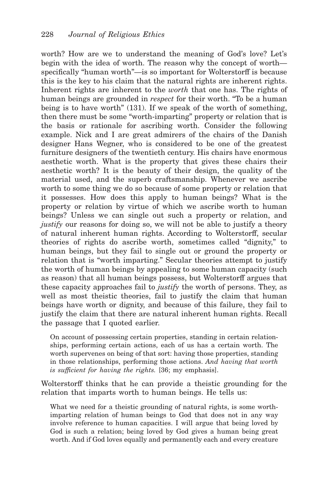worth? How are we to understand the meaning of God's love? Let's begin with the idea of worth. The reason why the concept of worth specifically "human worth"—is so important for Wolterstorff is because this is the key to his claim that the natural rights are inherent rights. Inherent rights are inherent to the *worth* that one has. The rights of human beings are grounded in *respect* for their worth. "To be a human being is to have worth" (131). If we speak of the worth of something, then there must be some "worth-imparting" property or relation that is the basis or rationale for ascribing worth. Consider the following example. Nick and I are great admirers of the chairs of the Danish designer Hans Wegner, who is considered to be one of the greatest furniture designers of the twentieth century. His chairs have enormous aesthetic worth. What is the property that gives these chairs their aesthetic worth? It is the beauty of their design, the quality of the material used, and the superb craftsmanship. Whenever we ascribe worth to some thing we do so because of some property or relation that it possesses. How does this apply to human beings? What is the property or relation by virtue of which we ascribe worth to human beings? Unless we can single out such a property or relation, and *justify* our reasons for doing so, we will not be able to justify a theory of natural inherent human rights. According to Wolterstorff, secular theories of rights do ascribe worth, sometimes called "dignity," to human beings, but they fail to single out or ground the property or relation that is "worth imparting." Secular theories attempt to justify the worth of human beings by appealing to some human capacity (such as reason) that all human beings possess, but Wolterstorff argues that these capacity approaches fail to *justify* the worth of persons. They, as well as most theistic theories, fail to justify the claim that human beings have worth or dignity, and because of this failure, they fail to justify the claim that there are natural inherent human rights. Recall the passage that I quoted earlier.

On account of possessing certain properties, standing in certain relationships, performing certain actions, each of us has a certain worth. The worth supervenes on being of that sort: having those properties, standing in those relationships, performing those actions. *And having that worth is sufficient for having the rights.* [36; my emphasis].

Wolterstorff thinks that he can provide a theistic grounding for the relation that imparts worth to human beings. He tells us:

What we need for a theistic grounding of natural rights, is some worthimparting relation of human beings to God that does not in any way involve reference to human capacities. I will argue that being loved by God is such a relation; being loved by God gives a human being great worth. And if God loves equally and permanently each and every creature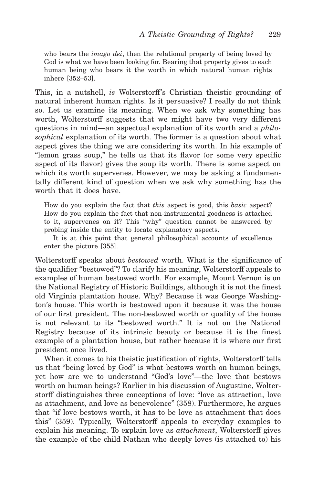who bears the *imago dei*, then the relational property of being loved by God is what we have been looking for. Bearing that property gives to each human being who bears it the worth in which natural human rights inhere [352–53].

This, in a nutshell, *is* Wolterstorff's Christian theistic grounding of natural inherent human rights. Is it persuasive? I really do not think so. Let us examine its meaning. When we ask why something has worth, Wolterstorff suggests that we might have two very different questions in mind—an aspectual explanation of its worth and a *philosophical* explanation of its worth. The former is a question about what aspect gives the thing we are considering its worth. In his example of "lemon grass soup," he tells us that its flavor (or some very specific aspect of its flavor) gives the soup its worth. There is some aspect on which its worth supervenes. However, we may be asking a fundamentally different kind of question when we ask why something has the worth that it does have.

How do you explain the fact that *this* aspect is good, this *basic* aspect? How do you explain the fact that non-instrumental goodness is attached to it, supervenes on it? This "why" question cannot be answered by probing inside the entity to locate explanatory aspects.

It is at this point that general philosophical accounts of excellence enter the picture [355].

Wolterstorff speaks about *bestowed* worth. What is the significance of the qualifier "bestowed"? To clarify his meaning, Wolterstorff appeals to examples of human bestowed worth. For example, Mount Vernon is on the National Registry of Historic Buildings, although it is not the finest old Virginia plantation house. Why? Because it was George Washington's house. This worth is bestowed upon it because it was the house of our first president. The non-bestowed worth or quality of the house is not relevant to its "bestowed worth." It is not on the National Registry because of its intrinsic beauty or because it is the finest example of a plantation house, but rather because it is where our first president once lived.

When it comes to his theistic justification of rights, Wolterstorff tells us that "being loved by God" is what bestows worth on human beings, yet how are we to understand "God's love"—the love that bestows worth on human beings? Earlier in his discussion of Augustine, Wolterstorff distinguishes three conceptions of love: "love as attraction, love as attachment, and love as benevolence" (358). Furthermore, he argues that "if love bestows worth, it has to be love as attachment that does this" (359). Typically, Wolterstorff appeals to everyday examples to explain his meaning. To explain love as *attachment*, Wolterstorff gives the example of the child Nathan who deeply loves (is attached to) his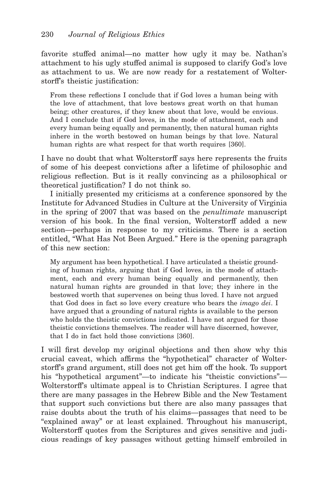favorite stuffed animal—no matter how ugly it may be. Nathan's attachment to his ugly stuffed animal is supposed to clarify God's love as attachment to us. We are now ready for a restatement of Wolterstorff's theistic justification:

From these reflections I conclude that if God loves a human being with the love of attachment, that love bestows great worth on that human being; other creatures, if they knew about that love, would be envious. And I conclude that if God loves, in the mode of attachment, each and every human being equally and permanently, then natural human rights inhere in the worth bestowed on human beings by that love. Natural human rights are what respect for that worth requires [360].

I have no doubt that what Wolterstorff says here represents the fruits of some of his deepest convictions after a lifetime of philosophic and religious reflection. But is it really convincing as a philosophical or theoretical justification? I do not think so.

I initially presented my criticisms at a conference sponsored by the Institute for Advanced Studies in Culture at the University of Virginia in the spring of 2007 that was based on the *penultimate* manuscript version of his book. In the final version, Wolterstorff added a new section—perhaps in response to my criticisms. There is a section entitled, "What Has Not Been Argued." Here is the opening paragraph of this new section:

My argument has been hypothetical. I have articulated a theistic grounding of human rights, arguing that if God loves, in the mode of attachment, each and every human being equally and permanently, then natural human rights are grounded in that love; they inhere in the bestowed worth that supervenes on being thus loved. I have not argued that God does in fact so love every creature who bears the *imago dei*. I have argued that a grounding of natural rights is available to the person who holds the theistic convictions indicated. I have not argued for those theistic convictions themselves. The reader will have discerned, however, that I do in fact hold those convictions [360].

I will first develop my original objections and then show why this crucial caveat, which affirms the "hypothetical" character of Wolterstorff's grand argument, still does not get him off the hook. To support his "hypothetical argument"—to indicate his "theistic convictions"— Wolterstorff's ultimate appeal is to Christian Scriptures. I agree that there are many passages in the Hebrew Bible and the New Testament that support such convictions but there are also many passages that raise doubts about the truth of his claims—passages that need to be "explained away" or at least explained. Throughout his manuscript, Wolterstorff quotes from the Scriptures and gives sensitive and judicious readings of key passages without getting himself embroiled in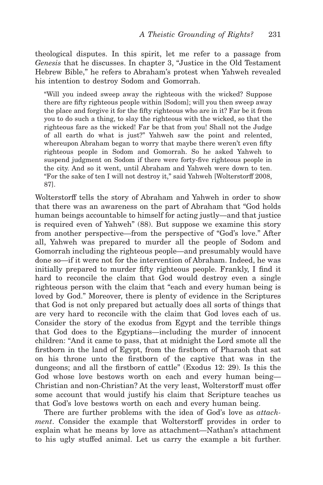theological disputes. In this spirit, let me refer to a passage from *Genesis* that he discusses. In chapter 3, "Justice in the Old Testament Hebrew Bible," he refers to Abraham's protest when Yahweh revealed his intention to destroy Sodom and Gomorrah.

"Will you indeed sweep away the righteous with the wicked? Suppose there are fifty righteous people within [Sodom]; will you then sweep away the place and forgive it for the fifty righteous who are in it? Far be it from you to do such a thing, to slay the righteous with the wicked, so that the righteous fare as the wicked! Far be that from you! Shall not the Judge of all earth do what is just?" Yahweh saw the point and relented, whereupon Abraham began to worry that maybe there weren't even fifty righteous people in Sodom and Gomorrah. So he asked Yahweh to suspend judgment on Sodom if there were forty-five righteous people in the city. And so it went, until Abraham and Yahweh were down to ten. "For the sake of ten I will not destroy it," said Yahweh [Wolterstorff 2008, 87].

Wolterstorff tells the story of Abraham and Yahweh in order to show that there was an awareness on the part of Abraham that "God holds human beings accountable to himself for acting justly—and that justice is required even of Yahweh" (88). But suppose we examine this story from another perspective—from the perspective of "God's love." After all, Yahweh was prepared to murder all the people of Sodom and Gomorrah including the righteous people—and presumably would have done so—if it were not for the intervention of Abraham. Indeed, he was initially prepared to murder fifty righteous people. Frankly, I find it hard to reconcile the claim that God would destroy even a single righteous person with the claim that "each and every human being is loved by God." Moreover, there is plenty of evidence in the Scriptures that God is not only prepared but actually does all sorts of things that are very hard to reconcile with the claim that God loves each of us. Consider the story of the exodus from Egypt and the terrible things that God does to the Egyptians—including the murder of innocent children: "And it came to pass, that at midnight the Lord smote all the firstborn in the land of Egypt, from the firstborn of Pharaoh that sat on his throne unto the firstborn of the captive that was in the dungeons; and all the firstborn of cattle" (Exodus 12: 29). Is this the God whose love bestows worth on each and every human being— Christian and non-Christian? At the very least, Wolterstorff must offer some account that would justify his claim that Scripture teaches us that God's love bestows worth on each and every human being.

There are further problems with the idea of God's love as *attachment*. Consider the example that Wolterstorff provides in order to explain what he means by love as attachment—Nathan's attachment to his ugly stuffed animal. Let us carry the example a bit further.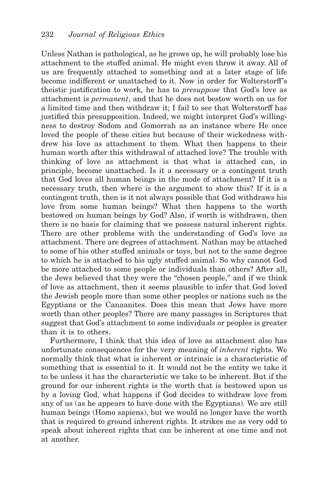Unless Nathan is pathological, as he grows up, he will probably lose his attachment to the stuffed animal. He might even throw it away. All of us are frequently attached to something and at a later stage of life become indifferent or unattached to it. Now in order for Wolterstorff's theistic justification to work, he has to *presuppose* that God's love as attachment is *permanent*, and that he does not bestow worth on us for a limited time and then withdraw it; I fail to see that Wolterstorff has justified this presupposition. Indeed, we might interpret God's willingness to destroy Sodom and Gomorrah as an instance where He once loved the people of these cities but because of their wickedness withdrew his love as attachment to them. What then happens to their human worth after this withdrawal of attached love? The trouble with thinking of love as attachment is that what is attached can, in principle, become unattached. Is it a necessary or a contingent truth that God loves all human beings in the mode of attachment? If it is a necessary truth, then where is the argument to show this? If it is a contingent truth, then is it not always possible that God withdraws his love from some human beings? What then happens to the worth bestowed on human beings by God? Also, if worth is withdrawn, then there is no basis for claiming that we possess natural inherent rights. There are other problems with the understanding of God's love as attachment. There are degrees of attachment. Nathan may be attached to some of his other stuffed animals or toys, but not to the same degree to which he is attached to his ugly stuffed animal. So why cannot God be more attached to some people or individuals than others? After all, the Jews believed that they were the "chosen people," and if we think of love as attachment, then it seems plausible to infer that God loved the Jewish people more than some other peoples or nations such as the Egyptians or the Canaanites. Does this mean that Jews have more worth than other peoples? There are many passages in Scriptures that suggest that God's attachment to some individuals or peoples is greater than it is to others.

Furthermore, I think that this idea of love as attachment also has unfortunate consequences for the very meaning of *inherent* rights. We normally think that what is inherent or intrinsic is a characteristic of something that is essential to it. It would not be the entity we take it to be unless it has the characteristic we take to be inherent. But if the ground for our inherent rights is the worth that is bestowed upon us by a loving God, what happens if God decides to withdraw love from any of us (as he appears to have done with the Egyptians). We are still human beings (Homo sapiens), but we would no longer have the worth that is required to ground inherent rights. It strikes me as very odd to speak about inherent rights that can be inherent at one time and not at another.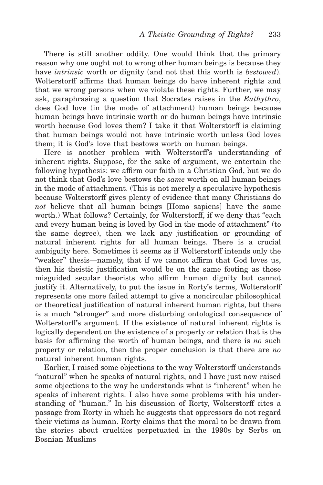There is still another oddity. One would think that the primary reason why one ought not to wrong other human beings is because they have *intrinsic* worth or dignity (and not that this worth is *bestowed*). Wolterstorff affirms that human beings do have inherent rights and that we wrong persons when we violate these rights. Further, we may ask, paraphrasing a question that Socrates raises in the *Euthythro*, does God love (in the mode of attachment) human beings because human beings have intrinsic worth or do human beings have intrinsic worth because God loves them? I take it that Wolterstorff is claiming that human beings would not have intrinsic worth unless God loves them; it is God's love that bestows worth on human beings.

Here is another problem with Wolterstorff's understanding of inherent rights. Suppose, for the sake of argument, we entertain the following hypothesis: we affirm our faith in a Christian God, but we do not think that God's love bestows the *same* worth on all human beings in the mode of attachment. (This is not merely a speculative hypothesis because Wolterstorff gives plenty of evidence that many Christians do *not* believe that all human beings [Homo sapiens] have the same worth.) What follows? Certainly, for Wolterstorff, if we deny that "each and every human being is loved by God in the mode of attachment" (to the same degree), then we lack any justification or grounding of natural inherent rights for all human beings. There is a crucial ambiguity here. Sometimes it seems as if Wolterstorff intends only the "weaker" thesis—namely, that if we cannot affirm that God loves us, then his theistic justification would be on the same footing as those misguided secular theorists who affirm human dignity but cannot justify it. Alternatively, to put the issue in Rorty's terms, Wolterstorff represents one more failed attempt to give a noncircular philosophical or theoretical justification of natural inherent human rights, but there is a much "stronger" and more disturbing ontological consequence of Wolterstorff's argument. If the existence of natural inherent rights is logically dependent on the existence of a property or relation that is the basis for affirming the worth of human beings, and there is *no* such property or relation, then the proper conclusion is that there are *no* natural inherent human rights.

Earlier, I raised some objections to the way Wolterstorff understands "natural" when he speaks of natural rights, and I have just now raised some objections to the way he understands what is "inherent" when he speaks of inherent rights. I also have some problems with his understanding of "human." In his discussion of Rorty, Wolterstorff cites a passage from Rorty in which he suggests that oppressors do not regard their victims as human. Rorty claims that the moral to be drawn from the stories about cruelties perpetuated in the 1990s by Serbs on Bosnian Muslims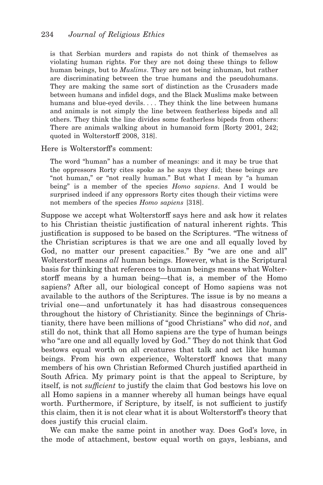is that Serbian murders and rapists do not think of themselves as violating human rights. For they are not doing these things to fellow human beings, but to *Muslims*. They are not being inhuman, but rather are discriminating between the true humans and the pseudohumans. They are making the same sort of distinction as the Crusaders made between humans and infidel dogs, and the Black Muslims make between humans and blue-eyed devils.... They think the line between humans and animals is not simply the line between featherless bipeds and all others. They think the line divides some featherless bipeds from others: There are animals walking about in humanoid form [Rorty 2001, 242; quoted in Wolterstorff 2008, 318].

Here is Wolterstorff's comment:

The word "human" has a number of meanings: and it may be true that the oppressors Rorty cites spoke as he says they did; these beings are "not human," or "not really human." But what I mean by "a human being" is a member of the species *Homo sapiens*. And I would be surprised indeed if any oppressors Rorty cites though their victims were not members of the species *Homo sapiens* [318].

Suppose we accept what Wolterstorff says here and ask how it relates to his Christian theistic justification of natural inherent rights. This justification is supposed to be based on the Scriptures. "The witness of the Christian scriptures is that we are one and all equally loved by God, no matter our present capacities." By "we are one and all" Wolterstorff means *all* human beings. However, what is the Scriptural basis for thinking that references to human beings means what Wolterstorff means by a human being—that is, a member of the Homo sapiens? After all, our biological concept of Homo sapiens was not available to the authors of the Scriptures. The issue is by no means a trivial one—and unfortunately it has had disastrous consequences throughout the history of Christianity. Since the beginnings of Christianity, there have been millions of "good Christians" who did *not*, and still do not, think that all Homo sapiens are the type of human beings who "are one and all equally loved by God." They do not think that God bestows equal worth on all creatures that talk and act like human beings. From his own experience, Wolterstorff knows that many members of his own Christian Reformed Church justified apartheid in South Africa. My primary point is that the appeal to Scripture, by itself, is not *sufficient* to justify the claim that God bestows his love on all Homo sapiens in a manner whereby all human beings have equal worth. Furthermore, if Scripture, by itself, is not sufficient to justify this claim, then it is not clear what it is about Wolterstorff's theory that does justify this crucial claim.

We can make the same point in another way. Does God's love, in the mode of attachment, bestow equal worth on gays, lesbians, and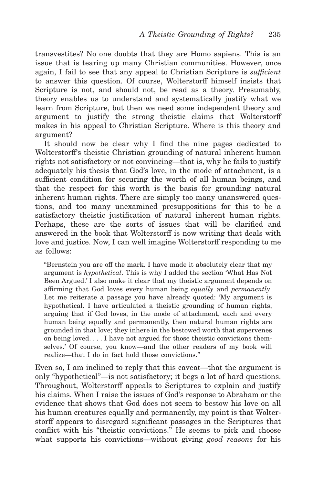transvestites? No one doubts that they are Homo sapiens. This is an issue that is tearing up many Christian communities. However, once again, I fail to see that any appeal to Christian Scripture is *sufficient* to answer this question. Of course, Wolterstorff himself insists that Scripture is not, and should not, be read as a theory. Presumably, theory enables us to understand and systematically justify what we learn from Scripture, but then we need some independent theory and argument to justify the strong theistic claims that Wolterstorff makes in his appeal to Christian Scripture. Where is this theory and argument?

It should now be clear why I find the nine pages dedicated to Wolterstorff's theistic Christian grounding of natural inherent human rights not satisfactory or not convincing—that is, why he fails to justify adequately his thesis that God's love, in the mode of attachment, is a sufficient condition for securing the worth of all human beings, and that the respect for this worth is the basis for grounding natural inherent human rights. There are simply too many unanswered questions, and too many unexamined presuppositions for this to be a satisfactory theistic justification of natural inherent human rights. Perhaps, these are the sorts of issues that will be clarified and answered in the book that Wolterstorff is now writing that deals with love and justice. Now, I can well imagine Wolterstorff responding to me as follows:

"Bernstein you are off the mark. I have made it absolutely clear that my argument is *hypothetical*. This is why I added the section 'What Has Not Been Argued.' I also make it clear that my theistic argument depends on affirming that God loves every human being *equally* and *permanently*. Let me reiterate a passage you have already quoted: 'My argument is hypothetical. I have articulated a theistic grounding of human rights, arguing that if God loves, in the mode of attachment, each and every human being equally and permanently, then natural human rights are grounded in that love; they inhere in the bestowed worth that supervenes on being loved....I have not argued for those theistic convictions themselves.' Of course, you know—and the other readers of my book will realize—that I do in fact hold those convictions."

Even so, I am inclined to reply that this caveat—that the argument is only "hypothetical"—is not satisfactory; it begs a lot of hard questions. Throughout, Wolterstorff appeals to Scriptures to explain and justify his claims. When I raise the issues of God's response to Abraham or the evidence that shows that God does not seem to bestow his love on all his human creatures equally and permanently, my point is that Wolterstorff appears to disregard significant passages in the Scriptures that conflict with his "theistic convictions." He seems to pick and choose what supports his convictions—without giving *good reasons* for his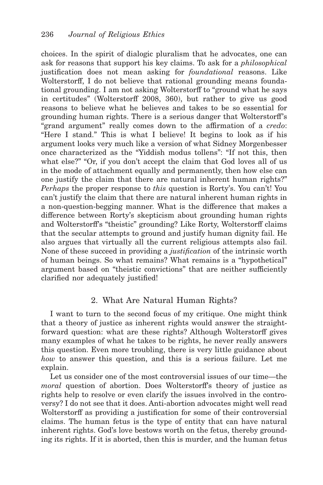choices. In the spirit of dialogic pluralism that he advocates, one can ask for reasons that support his key claims. To ask for a *philosophical* justification does not mean asking for *foundational* reasons. Like Wolterstorff, I do not believe that rational grounding means foundational grounding. I am not asking Wolterstorff to "ground what he says in certitudes" (Wolterstorff 2008, 360), but rather to give us good reasons to believe what he believes and takes to be so essential for grounding human rights. There is a serious danger that Wolterstorff's "grand argument" really comes down to the affirmation of a *credo*: "Here I stand." This is what I believe! It begins to look as if his argument looks very much like a version of what Sidney Morgenbesser once characterized as the "Yiddish modus tollens": "If not this, then what else?" "Or, if you don't accept the claim that God loves all of us in the mode of attachment equally and permanently, then how else can one justify the claim that there are natural inherent human rights?" *Perhaps* the proper response to *this* question is Rorty's. You can't! You can't justify the claim that there are natural inherent human rights in a non-question-begging manner. What is the difference that makes a difference between Rorty's skepticism about grounding human rights and Wolterstorff's "theistic" grounding? Like Rorty, Wolterstorff claims that the secular attempts to ground and justify human dignity fail. He also argues that virtually all the current religious attempts also fail. None of these succeed in providing a *justification* of the intrinsic worth of human beings. So what remains? What remains is a "hypothetical" argument based on "theistic convictions" that are neither sufficiently clarified nor adequately justified!

### 2. What Are Natural Human Rights?

I want to turn to the second focus of my critique. One might think that a theory of justice as inherent rights would answer the straightforward question: what are these rights? Although Wolterstorff gives many examples of what he takes to be rights, he never really answers this question. Even more troubling, there is very little guidance about *how* to answer this question, and this is a serious failure. Let me explain.

Let us consider one of the most controversial issues of our time—the *moral* question of abortion. Does Wolterstorff's theory of justice as rights help to resolve or even clarify the issues involved in the controversy? I do not see that it does. Anti-abortion advocates might well read Wolterstorff as providing a justification for some of their controversial claims. The human fetus is the type of entity that can have natural inherent rights. God's love bestows worth on the fetus, thereby grounding its rights. If it is aborted, then this is murder, and the human fetus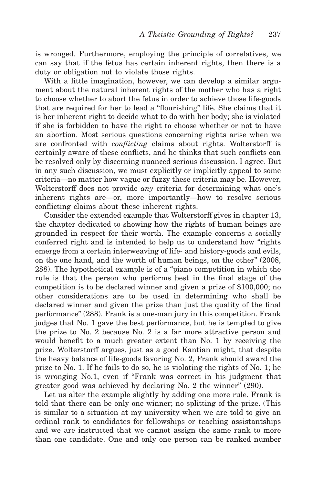is wronged. Furthermore, employing the principle of correlatives, we can say that if the fetus has certain inherent rights, then there is a duty or obligation not to violate those rights.

With a little imagination, however, we can develop a similar argument about the natural inherent rights of the mother who has a right to choose whether to abort the fetus in order to achieve those life-goods that are required for her to lead a "flourishing" life. She claims that it is her inherent right to decide what to do with her body; she is violated if she is forbidden to have the right to choose whether or not to have an abortion. Most serious questions concerning rights arise when we are confronted with *conflicting* claims about rights. Wolterstorff is certainly aware of these conflicts, and he thinks that such conflicts can be resolved only by discerning nuanced serious discussion. I agree. But in any such discussion, we must explicitly or implicitly appeal to some criteria—no matter how vague or fuzzy these criteria may be. However, Wolterstorff does not provide *any* criteria for determining what one's inherent rights are—or, more importantly—how to resolve serious conflicting claims about these inherent rights.

Consider the extended example that Wolterstorff gives in chapter 13, the chapter dedicated to showing how the rights of human beings are grounded in respect for their worth. The example concerns a socially conferred right and is intended to help us to understand how "rights emerge from a certain interweaving of life- and history-goods and evils, on the one hand, and the worth of human beings, on the other" (2008, 288). The hypothetical example is of a "piano competition in which the rule is that the person who performs best in the final stage of the competition is to be declared winner and given a prize of \$100,000; no other considerations are to be used in determining who shall be declared winner and given the prize than just the quality of the final performance" (288). Frank is a one-man jury in this competition. Frank judges that No. 1 gave the best performance, but he is tempted to give the prize to No. 2 because No. 2 is a far more attractive person and would benefit to a much greater extent than No. 1 by receiving the prize. Wolterstorff argues, just as a good Kantian might, that despite the heavy balance of life-goods favoring No. 2, Frank should award the prize to No. 1. If he fails to do so, he is violating the rights of No. 1; he is wronging No.1, even if "Frank was correct in his judgment that greater good was achieved by declaring No. 2 the winner" (290).

Let us alter the example slightly by adding one more rule. Frank is told that there can be only one winner; no splitting of the prize. (This is similar to a situation at my university when we are told to give an ordinal rank to candidates for fellowships or teaching assistantships and we are instructed that we cannot assign the same rank to more than one candidate. One and only one person can be ranked number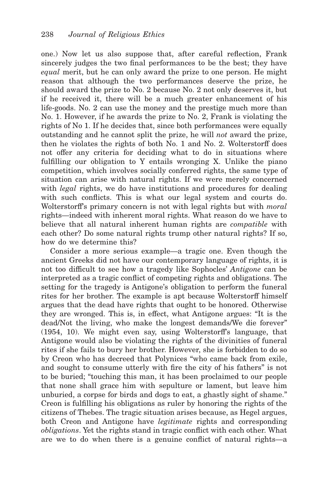one.) Now let us also suppose that, after careful reflection, Frank sincerely judges the two final performances to be the best; they have *equal* merit, but he can only award the prize to one person. He might reason that although the two performances deserve the prize, he should award the prize to No. 2 because No. 2 not only deserves it, but if he received it, there will be a much greater enhancement of his life-goods. No. 2 can use the money and the prestige much more than No. 1. However, if he awards the prize to No. 2, Frank is violating the rights of No 1. If he decides that, since both performances were equally outstanding and he cannot split the prize, he will *not* award the prize, then he violates the rights of both No. 1 and No. 2. Wolterstorff does not offer any criteria for deciding what to do in situations where fulfilling our obligation to Y entails wronging X. Unlike the piano competition, which involves socially conferred rights, the same type of situation can arise with natural rights. If we were merely concerned with *legal* rights, we do have institutions and procedures for dealing with such conflicts. This is what our legal system and courts do. Wolterstorff's primary concern is not with legal rights but with *moral* rights—indeed with inherent moral rights. What reason do we have to believe that all natural inherent human rights are *compatible* with each other? Do some natural rights trump other natural rights? If so, how do we determine this?

Consider a more serious example—a tragic one. Even though the ancient Greeks did not have our contemporary language of rights, it is not too difficult to see how a tragedy like Sophocles' *Antigone* can be interpreted as a tragic conflict of competing rights and obligations. The setting for the tragedy is Antigone's obligation to perform the funeral rites for her brother. The example is apt because Wolterstorff himself argues that the dead have rights that ought to be honored. Otherwise they are wronged. This is, in effect, what Antigone argues: "It is the dead/Not the living, who make the longest demands/We die forever" (1954, 10). We might even say, using Wolterstorff's language, that Antigone would also be violating the rights of the divinities of funeral rites if she fails to bury her brother. However, she is forbidden to do so by Creon who has decreed that Polynices "who came back from exile, and sought to consume utterly with fire the city of his fathers" is not to be buried; "touching this man, it has been proclaimed to our people that none shall grace him with sepulture or lament, but leave him unburied, a corpse for birds and dogs to eat, a ghastly sight of shame." Creon is fulfilling his obligations as ruler by honoring the rights of the citizens of Thebes. The tragic situation arises because, as Hegel argues, both Creon and Antigone have *legitimate* rights and corresponding *obligations*. Yet the rights stand in tragic conflict with each other. What are we to do when there is a genuine conflict of natural rights—a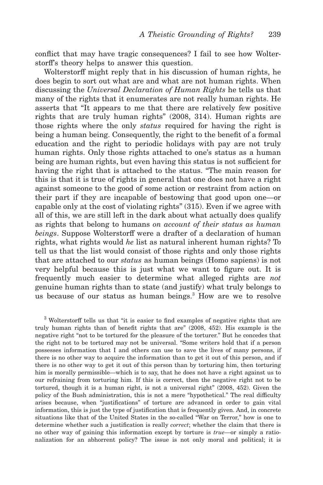conflict that may have tragic consequences? I fail to see how Wolterstorff's theory helps to answer this question.

Wolterstorff might reply that in his discussion of human rights, he does begin to sort out what are and what are not human rights. When discussing the *Universal Declaration of Human Rights* he tells us that many of the rights that it enumerates are not really human rights. He asserts that "It appears to me that there are relatively few positive rights that are truly human rights" (2008, 314). Human rights are those rights where the only *status* required for having the right is being a human being. Consequently, the right to the benefit of a formal education and the right to periodic holidays with pay are not truly human rights. Only those rights attached to one's status as a human being are human rights, but even having this status is not sufficient for having the right that is attached to the status. "The main reason for this is that it is true of rights in general that one does not have a right against someone to the good of some action or restraint from action on their part if they are incapable of bestowing that good upon one—or capable only at the cost of violating rights" (315). Even if we agree with all of this, we are still left in the dark about what actually does qualify as rights that belong to humans *on account of their status as human beings*. Suppose Wolterstorff were a drafter of a declaration of human rights, what rights would *he* list as natural inherent human rights? To tell us that the list would consist of those rights and only those rights that are attached to our *status* as human beings (Homo sapiens) is not very helpful because this is just what we want to figure out. It is frequently much easier to determine what alleged rights are *not* genuine human rights than to state (and justify) what truly belongs to us because of our status as human beings.<sup>3</sup> How are we to resolve

<sup>3</sup> Wolterstorff tells us that "it is easier to find examples of negative rights that are truly human rights than of benefit rights that are" (2008, 452). His example is the negative right "not to be tortured for the pleasure of the torturer." But he concedes that the right not to be tortured may not be universal. "Some writers hold that if a person possesses information that I and others can use to save the lives of many persons, if there is no other way to acquire the information than to get it out of this person, and if there is no other way to get it out of this person than by torturing him, then torturing him is morally permissible—which is to say, that he does not have a right against us to our refraining from torturing him. If this is correct, then the negative right not to be tortured, though it is a human right, is not a universal right" (2008, 452). Given the policy of the Bush administration, this is not a mere "hypothetical." The real difficulty arises because, when "justifications" of torture are advanced in order to gain vital information, this is just the type of justification that is frequently given. And, in concrete situations like that of the United States in the so-called "War on Terror," how is one to determine whether such a justification is really *correct*; whether the claim that there is no other way of gaining this information except by torture is *true*—or simply a rationalization for an abhorrent policy? The issue is not only moral and political; it is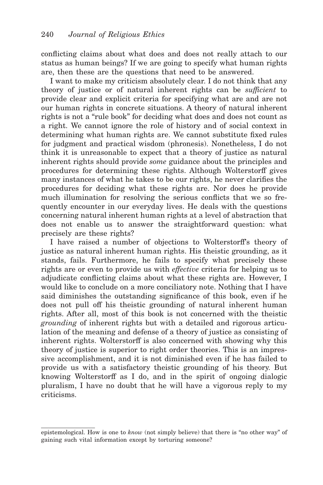conflicting claims about what does and does not really attach to our status as human beings? If we are going to specify what human rights are, then these are the questions that need to be answered.

I want to make my criticism absolutely clear. I do not think that any theory of justice or of natural inherent rights can be *sufficient* to provide clear and explicit criteria for specifying what are and are not our human rights in concrete situations. A theory of natural inherent rights is not a "rule book" for deciding what does and does not count as a right. We cannot ignore the role of history and of social context in determining what human rights are. We cannot substitute fixed rules for judgment and practical wisdom (phronesis). Nonetheless, I do not think it is unreasonable to expect that a theory of justice as natural inherent rights should provide *some* guidance about the principles and procedures for determining these rights. Although Wolterstorff gives many instances of what he takes to be our rights, he never clarifies the procedures for deciding what these rights are. Nor does he provide much illumination for resolving the serious conflicts that we so frequently encounter in our everyday lives. He deals with the questions concerning natural inherent human rights at a level of abstraction that does not enable us to answer the straightforward question: what precisely are these rights?

I have raised a number of objections to Wolterstorff's theory of justice as natural inherent human rights. His theistic grounding, as it stands, fails. Furthermore, he fails to specify what precisely these rights are or even to provide us with *effective* criteria for helping us to adjudicate conflicting claims about what these rights are. However, I would like to conclude on a more conciliatory note. Nothing that I have said diminishes the outstanding significance of this book, even if he does not pull off his theistic grounding of natural inherent human rights. After all, most of this book is not concerned with the theistic *grounding* of inherent rights but with a detailed and rigorous articulation of the meaning and defense of a theory of justice as consisting of inherent rights. Wolterstorff is also concerned with showing why this theory of justice is superior to right order theories. This is an impressive accomplishment, and it is not diminished even if he has failed to provide us with a satisfactory theistic grounding of his theory. But knowing Wolterstorff as I do, and in the spirit of ongoing dialogic pluralism, I have no doubt that he will have a vigorous reply to my criticisms.

epistemological. How is one to *know* (not simply believe) that there is "no other way" of gaining such vital information except by torturing someone?